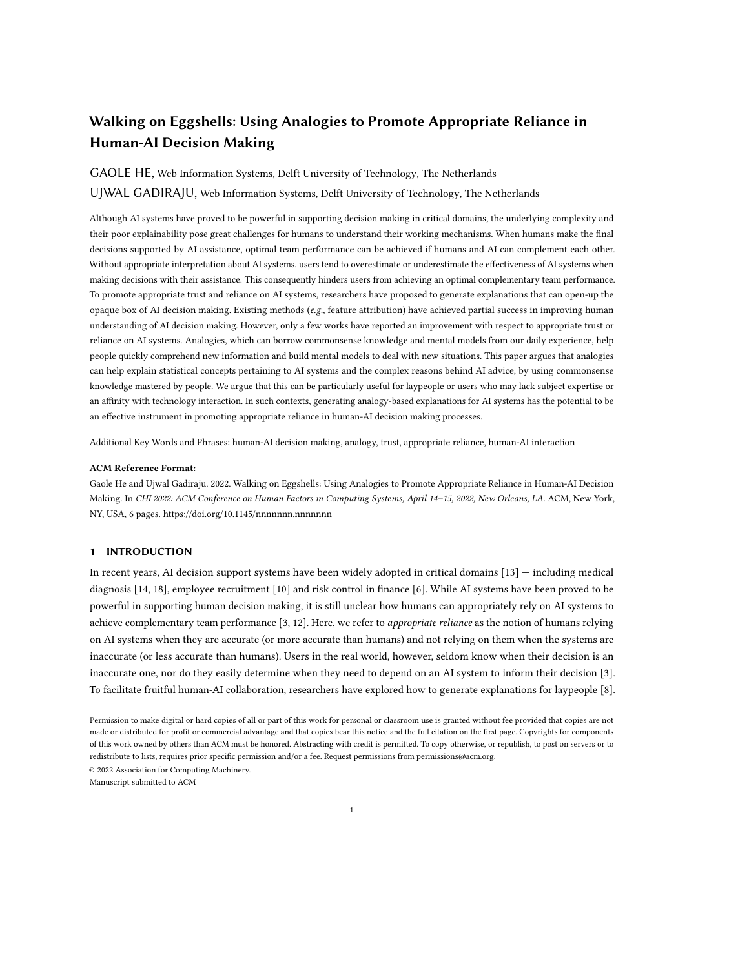# Walking on Eggshells: Using Analogies to Promote Appropriate Reliance in Human-AI Decision Making

## GAOLE HE, Web Information Systems, Delft University of Technology, The Netherlands

UJWAL GADIRAJU, Web Information Systems, Delft University of Technology, The Netherlands

Although AI systems have proved to be powerful in supporting decision making in critical domains, the underlying complexity and their poor explainability pose great challenges for humans to understand their working mechanisms. When humans make the final decisions supported by AI assistance, optimal team performance can be achieved if humans and AI can complement each other. Without appropriate interpretation about AI systems, users tend to overestimate or underestimate the effectiveness of AI systems when making decisions with their assistance. This consequently hinders users from achieving an optimal complementary team performance. To promote appropriate trust and reliance on AI systems, researchers have proposed to generate explanations that can open-up the opaque box of AI decision making. Existing methods  $(e.g.,$  feature attribution) have achieved partial success in improving human understanding of AI decision making. However, only a few works have reported an improvement with respect to appropriate trust or reliance on AI systems. Analogies, which can borrow commonsense knowledge and mental models from our daily experience, help people quickly comprehend new information and build mental models to deal with new situations. This paper argues that analogies can help explain statistical concepts pertaining to AI systems and the complex reasons behind AI advice, by using commonsense knowledge mastered by people. We argue that this can be particularly useful for laypeople or users who may lack subject expertise or an affinity with technology interaction. In such contexts, generating analogy-based explanations for AI systems has the potential to be an effective instrument in promoting appropriate reliance in human-AI decision making processes.

Additional Key Words and Phrases: human-AI decision making, analogy, trust, appropriate reliance, human-AI interaction

#### ACM Reference Format:

Gaole He and Ujwal Gadiraju. 2022. Walking on Eggshells: Using Analogies to Promote Appropriate Reliance in Human-AI Decision Making. In CHI 2022: ACM Conference on Human Factors in Computing Systems, April 14–15, 2022, New Orleans, LA. ACM, New York, NY, USA, [6](#page-5-0) pages.<https://doi.org/10.1145/nnnnnnn.nnnnnnn>

## 1 INTRODUCTION

In recent years, AI decision support systems have been widely adopted in critical domains [\[13\]](#page-5-1) — including medical diagnosis [\[14,](#page-5-2) [18\]](#page-5-3), employee recruitment [\[10\]](#page-5-4) and risk control in finance [\[6\]](#page-4-0). While AI systems have been proved to be powerful in supporting human decision making, it is still unclear how humans can appropriately rely on AI systems to achieve complementary team performance [\[3,](#page-4-1) [12\]](#page-5-5). Here, we refer to *appropriate reliance* as the notion of humans relying on AI systems when they are accurate (or more accurate than humans) and not relying on them when the systems are inaccurate (or less accurate than humans). Users in the real world, however, seldom know when their decision is an inaccurate one, nor do they easily determine when they need to depend on an AI system to inform their decision [\[3\]](#page-4-1). To facilitate fruitful human-AI collaboration, researchers have explored how to generate explanations for laypeople [\[8\]](#page-4-2).

© 2022 Association for Computing Machinery.

Manuscript submitted to ACM

Permission to make digital or hard copies of all or part of this work for personal or classroom use is granted without fee provided that copies are not made or distributed for profit or commercial advantage and that copies bear this notice and the full citation on the first page. Copyrights for components of this work owned by others than ACM must be honored. Abstracting with credit is permitted. To copy otherwise, or republish, to post on servers or to redistribute to lists, requires prior specific permission and/or a fee. Request permissions from permissions@acm.org.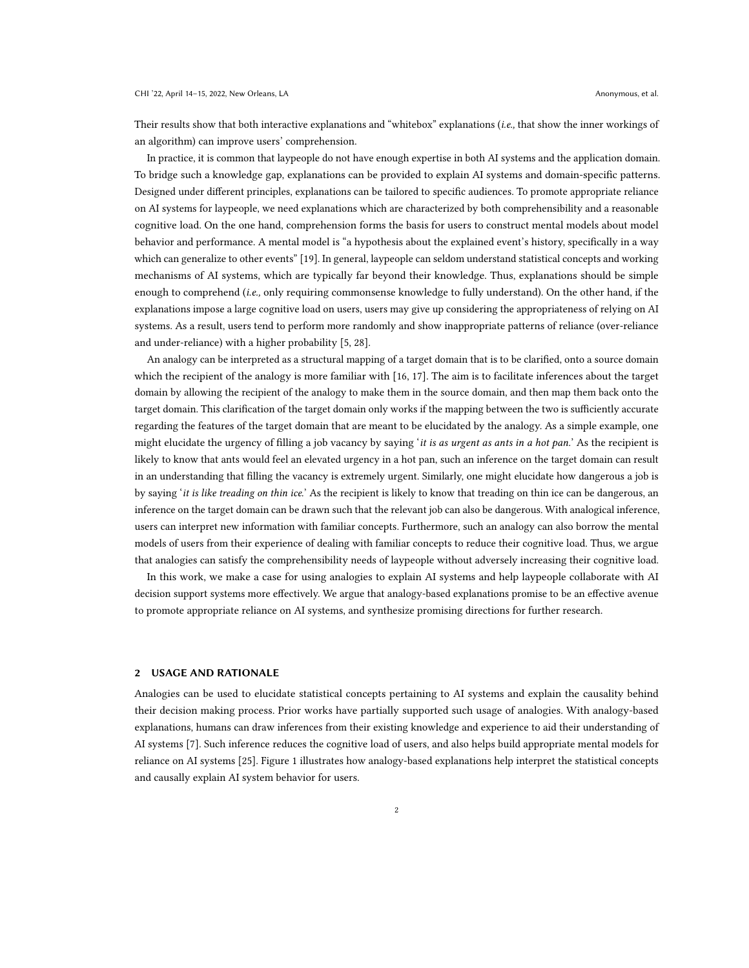Their results show that both interactive explanations and "whitebox" explanations (i.e., that show the inner workings of an algorithm) can improve users' comprehension.

In practice, it is common that laypeople do not have enough expertise in both AI systems and the application domain. To bridge such a knowledge gap, explanations can be provided to explain AI systems and domain-specific patterns. Designed under different principles, explanations can be tailored to specific audiences. To promote appropriate reliance on AI systems for laypeople, we need explanations which are characterized by both comprehensibility and a reasonable cognitive load. On the one hand, comprehension forms the basis for users to construct mental models about model behavior and performance. A mental model is "a hypothesis about the explained event's history, specifically in a way which can generalize to other events" [\[19\]](#page-5-6). In general, laypeople can seldom understand statistical concepts and working mechanisms of AI systems, which are typically far beyond their knowledge. Thus, explanations should be simple enough to comprehend (*i.e.*, only requiring commonsense knowledge to fully understand). On the other hand, if the explanations impose a large cognitive load on users, users may give up considering the appropriateness of relying on AI systems. As a result, users tend to perform more randomly and show inappropriate patterns of reliance (over-reliance and under-reliance) with a higher probability [\[5,](#page-4-3) [28\]](#page-5-7).

An analogy can be interpreted as a structural mapping of a target domain that is to be clarified, onto a source domain which the recipient of the analogy is more familiar with [\[16,](#page-5-8) [17\]](#page-5-9). The aim is to facilitate inferences about the target domain by allowing the recipient of the analogy to make them in the source domain, and then map them back onto the target domain. This clarification of the target domain only works if the mapping between the two is sufficiently accurate regarding the features of the target domain that are meant to be elucidated by the analogy. As a simple example, one might elucidate the urgency of filling a job vacancy by saying 'it is as urgent as ants in a hot pan.' As the recipient is likely to know that ants would feel an elevated urgency in a hot pan, such an inference on the target domain can result in an understanding that filling the vacancy is extremely urgent. Similarly, one might elucidate how dangerous a job is by saying 'it is like treading on thin ice.' As the recipient is likely to know that treading on thin ice can be dangerous, an inference on the target domain can be drawn such that the relevant job can also be dangerous. With analogical inference, users can interpret new information with familiar concepts. Furthermore, such an analogy can also borrow the mental models of users from their experience of dealing with familiar concepts to reduce their cognitive load. Thus, we argue that analogies can satisfy the comprehensibility needs of laypeople without adversely increasing their cognitive load.

In this work, we make a case for using analogies to explain AI systems and help laypeople collaborate with AI decision support systems more effectively. We argue that analogy-based explanations promise to be an effective avenue to promote appropriate reliance on AI systems, and synthesize promising directions for further research.

## <span id="page-1-0"></span>2 USAGE AND RATIONALE

Analogies can be used to elucidate statistical concepts pertaining to AI systems and explain the causality behind their decision making process. Prior works have partially supported such usage of analogies. With analogy-based explanations, humans can draw inferences from their existing knowledge and experience to aid their understanding of AI systems [\[7\]](#page-4-4). Such inference reduces the cognitive load of users, and also helps build appropriate mental models for reliance on AI systems [\[25\]](#page-5-10). Figure [1](#page-2-0) illustrates how analogy-based explanations help interpret the statistical concepts and causally explain AI system behavior for users.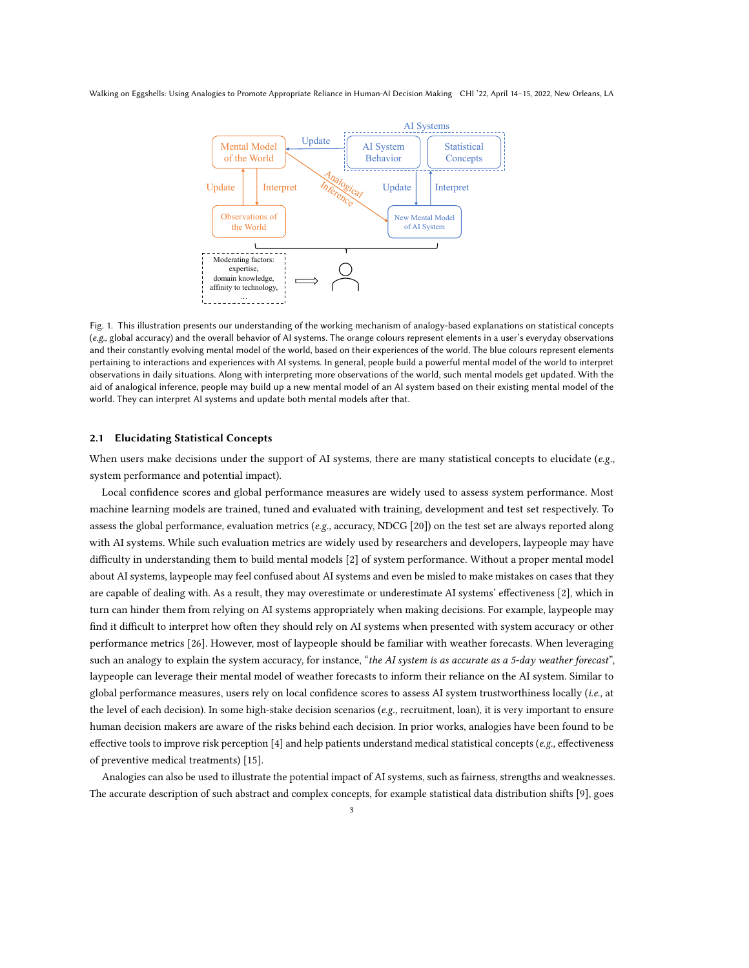#### <span id="page-2-0"></span>Walking on Eggshells: Using Analogies to Promote Appropriate Reliance in Human-AI Decision Making CHI '22, April 14–15, 2022, New Orleans, LA



Fig. 1. This illustration presents our understanding of the working mechanism of analogy-based explanations on statistical concepts (e.g., global accuracy) and the overall behavior of AI systems. The orange colours represent elements in a user's everyday observations and their constantly evolving mental model of the world, based on their experiences of the world. The blue colours represent elements pertaining to interactions and experiences with AI systems. In general, people build a powerful mental model of the world to interpret observations in daily situations. Along with interpreting more observations of the world, such mental models get updated. With the aid of analogical inference, people may build up a new mental model of an AI system based on their existing mental model of the world. They can interpret AI systems and update both mental models after that.

## 2.1 Elucidating Statistical Concepts

When users make decisions under the support of AI systems, there are many statistical concepts to elucidate (e.g., system performance and potential impact).

Local confidence scores and global performance measures are widely used to assess system performance. Most machine learning models are trained, tuned and evaluated with training, development and test set respectively. To assess the global performance, evaluation metrics (e.g., accuracy, NDCG [\[20\]](#page-5-11)) on the test set are always reported along with AI systems. While such evaluation metrics are widely used by researchers and developers, laypeople may have difficulty in understanding them to build mental models [\[2\]](#page-4-5) of system performance. Without a proper mental model about AI systems, laypeople may feel confused about AI systems and even be misled to make mistakes on cases that they are capable of dealing with. As a result, they may overestimate or underestimate AI systems' effectiveness [\[2\]](#page-4-5), which in turn can hinder them from relying on AI systems appropriately when making decisions. For example, laypeople may find it difficult to interpret how often they should rely on AI systems when presented with system accuracy or other performance metrics [\[26\]](#page-5-12). However, most of laypeople should be familiar with weather forecasts. When leveraging such an analogy to explain the system accuracy, for instance, "the AI system is as accurate as a 5-day weather forecast", laypeople can leverage their mental model of weather forecasts to inform their reliance on the AI system. Similar to global performance measures, users rely on local confidence scores to assess AI system trustworthiness locally (i.e., at the level of each decision). In some high-stake decision scenarios (e.g., recruitment, loan), it is very important to ensure human decision makers are aware of the risks behind each decision. In prior works, analogies have been found to be effective tools to improve risk perception [\[4\]](#page-4-6) and help patients understand medical statistical concepts ( $e.g.,$  effectiveness of preventive medical treatments) [\[15\]](#page-5-13).

Analogies can also be used to illustrate the potential impact of AI systems, such as fairness, strengths and weaknesses. The accurate description of such abstract and complex concepts, for example statistical data distribution shifts [\[9\]](#page-5-14), goes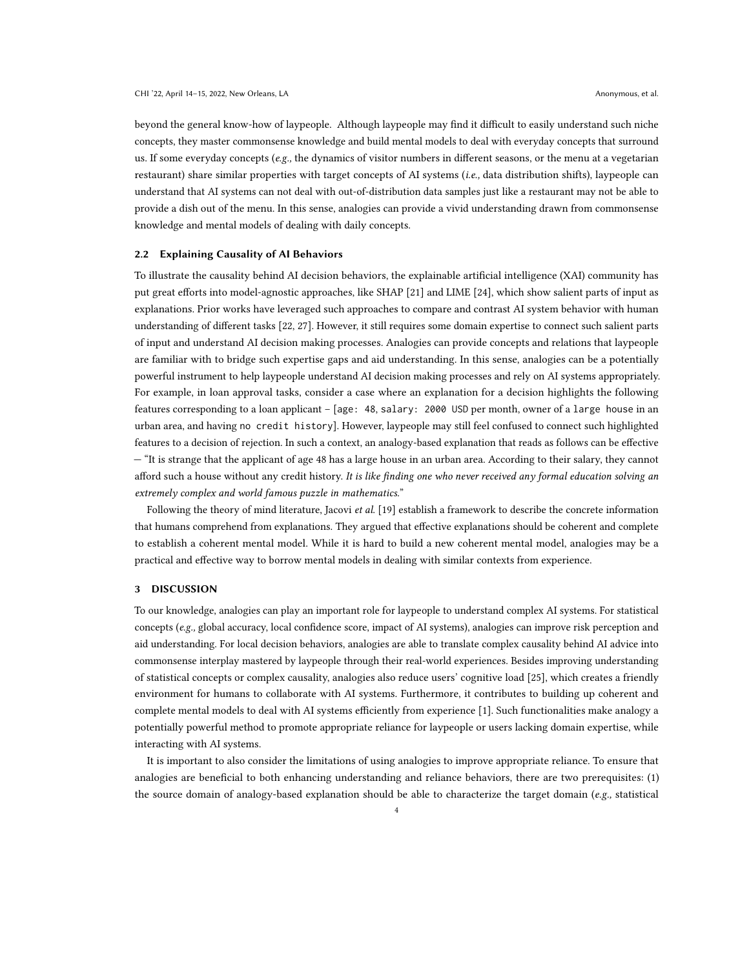beyond the general know-how of laypeople. Although laypeople may find it difficult to easily understand such niche concepts, they master commonsense knowledge and build mental models to deal with everyday concepts that surround us. If some everyday concepts (e.g., the dynamics of visitor numbers in different seasons, or the menu at a vegetarian restaurant) share similar properties with target concepts of AI systems (i.e., data distribution shifts), laypeople can understand that AI systems can not deal with out-of-distribution data samples just like a restaurant may not be able to provide a dish out of the menu. In this sense, analogies can provide a vivid understanding drawn from commonsense knowledge and mental models of dealing with daily concepts.

## 2.2 Explaining Causality of AI Behaviors

To illustrate the causality behind AI decision behaviors, the explainable artificial intelligence (XAI) community has put great efforts into model-agnostic approaches, like SHAP [\[21\]](#page-5-15) and LIME [\[24\]](#page-5-16), which show salient parts of input as explanations. Prior works have leveraged such approaches to compare and contrast AI system behavior with human understanding of different tasks [\[22,](#page-5-17) [27\]](#page-5-18). However, it still requires some domain expertise to connect such salient parts of input and understand AI decision making processes. Analogies can provide concepts and relations that laypeople are familiar with to bridge such expertise gaps and aid understanding. In this sense, analogies can be a potentially powerful instrument to help laypeople understand AI decision making processes and rely on AI systems appropriately. For example, in loan approval tasks, consider a case where an explanation for a decision highlights the following features corresponding to a loan applicant – [age: 48, salary: 2000 USD per month, owner of a large house in an urban area, and having no credit history]. However, laypeople may still feel confused to connect such highlighted features to a decision of rejection. In such a context, an analogy-based explanation that reads as follows can be effective — "It is strange that the applicant of age 48 has a large house in an urban area. According to their salary, they cannot afford such a house without any credit history. It is like finding one who never received any formal education solving an extremely complex and world famous puzzle in mathematics."

Following the theory of mind literature, Jacovi et al. [\[19\]](#page-5-6) establish a framework to describe the concrete information that humans comprehend from explanations. They argued that effective explanations should be coherent and complete to establish a coherent mental model. While it is hard to build a new coherent mental model, analogies may be a practical and effective way to borrow mental models in dealing with similar contexts from experience.

#### 3 DISCUSSION

To our knowledge, analogies can play an important role for laypeople to understand complex AI systems. For statistical concepts (e.g., global accuracy, local confidence score, impact of AI systems), analogies can improve risk perception and aid understanding. For local decision behaviors, analogies are able to translate complex causality behind AI advice into commonsense interplay mastered by laypeople through their real-world experiences. Besides improving understanding of statistical concepts or complex causality, analogies also reduce users' cognitive load [\[25\]](#page-5-10), which creates a friendly environment for humans to collaborate with AI systems. Furthermore, it contributes to building up coherent and complete mental models to deal with AI systems efficiently from experience [\[1\]](#page-4-7). Such functionalities make analogy a potentially powerful method to promote appropriate reliance for laypeople or users lacking domain expertise, while interacting with AI systems.

It is important to also consider the limitations of using analogies to improve appropriate reliance. To ensure that analogies are beneficial to both enhancing understanding and reliance behaviors, there are two prerequisites: (1) the source domain of analogy-based explanation should be able to characterize the target domain (e.g., statistical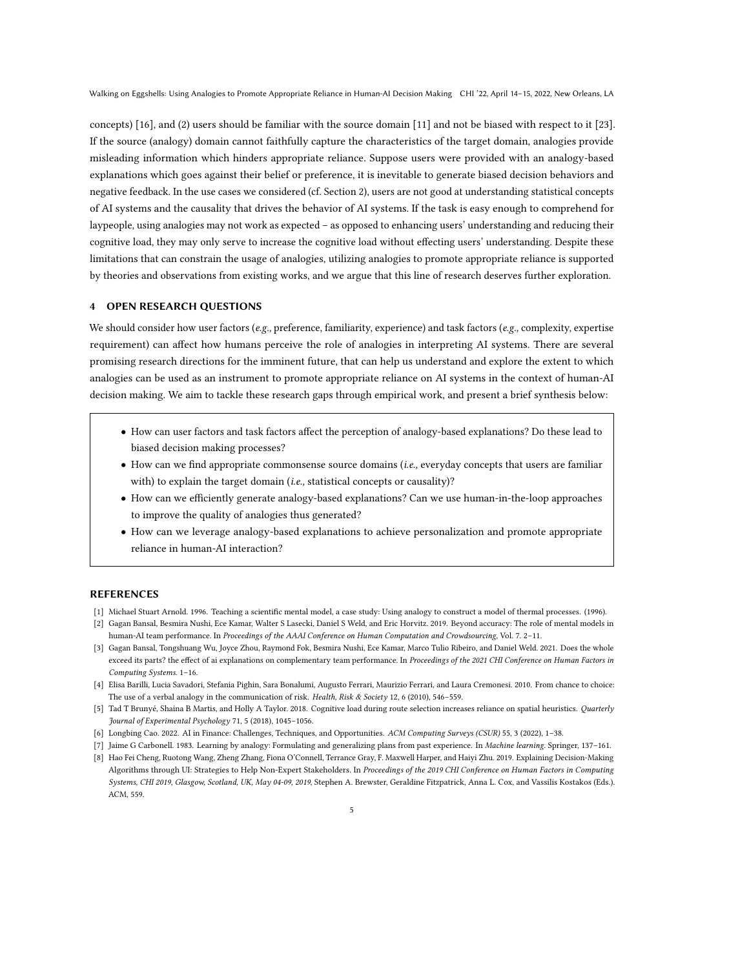Walking on Eggshells: Using Analogies to Promote Appropriate Reliance in Human-AI Decision Making CHI '22, April 14–15, 2022, New Orleans, LA

concepts) [\[16\]](#page-5-8), and (2) users should be familiar with the source domain [\[11\]](#page-5-19) and not be biased with respect to it [\[23\]](#page-5-20). If the source (analogy) domain cannot faithfully capture the characteristics of the target domain, analogies provide misleading information which hinders appropriate reliance. Suppose users were provided with an analogy-based explanations which goes against their belief or preference, it is inevitable to generate biased decision behaviors and negative feedback. In the use cases we considered (cf. Section [2\)](#page-1-0), users are not good at understanding statistical concepts of AI systems and the causality that drives the behavior of AI systems. If the task is easy enough to comprehend for laypeople, using analogies may not work as expected – as opposed to enhancing users' understanding and reducing their cognitive load, they may only serve to increase the cognitive load without effecting users' understanding. Despite these limitations that can constrain the usage of analogies, utilizing analogies to promote appropriate reliance is supported by theories and observations from existing works, and we argue that this line of research deserves further exploration.

## 4 OPEN RESEARCH QUESTIONS

We should consider how user factors ( $e.g.,$  preference, familiarity, experience) and task factors ( $e.g.,$  complexity, expertise requirement) can affect how humans perceive the role of analogies in interpreting AI systems. There are several promising research directions for the imminent future, that can help us understand and explore the extent to which analogies can be used as an instrument to promote appropriate reliance on AI systems in the context of human-AI decision making. We aim to tackle these research gaps through empirical work, and present a brief synthesis below:

- How can user factors and task factors affect the perception of analogy-based explanations? Do these lead to biased decision making processes?
- How can we find appropriate commonsense source domains (i.e., everyday concepts that users are familiar with) to explain the target domain *(i.e.*, statistical concepts or causality)?
- How can we efficiently generate analogy-based explanations? Can we use human-in-the-loop approaches to improve the quality of analogies thus generated?
- How can we leverage analogy-based explanations to achieve personalization and promote appropriate reliance in human-AI interaction?

#### REFERENCES

- <span id="page-4-7"></span>[1] Michael Stuart Arnold. 1996. Teaching a scientific mental model, a case study: Using analogy to construct a model of thermal processes. (1996).
- <span id="page-4-5"></span>[2] Gagan Bansal, Besmira Nushi, Ece Kamar, Walter S Lasecki, Daniel S Weld, and Eric Horvitz. 2019. Beyond accuracy: The role of mental models in human-AI team performance. In Proceedings of the AAAI Conference on Human Computation and Crowdsourcing, Vol. 7. 2-11.
- <span id="page-4-1"></span>[3] Gagan Bansal, Tongshuang Wu, Joyce Zhou, Raymond Fok, Besmira Nushi, Ece Kamar, Marco Tulio Ribeiro, and Daniel Weld. 2021. Does the whole exceed its parts? the effect of ai explanations on complementary team performance. In Proceedings of the 2021 CHI Conference on Human Factors in Computing Systems. 1–16.
- <span id="page-4-6"></span>[4] Elisa Barilli, Lucia Savadori, Stefania Pighin, Sara Bonalumi, Augusto Ferrari, Maurizio Ferrari, and Laura Cremonesi. 2010. From chance to choice: The use of a verbal analogy in the communication of risk. Health, Risk & Society 12, 6 (2010), 546-559.
- <span id="page-4-3"></span>[5] Tad T Brunyé, Shaina B Martis, and Holly A Taylor. 2018. Cognitive load during route selection increases reliance on spatial heuristics. Quarterly Journal of Experimental Psychology 71, 5 (2018), 1045–1056.
- <span id="page-4-0"></span>[6] Longbing Cao. 2022. AI in Finance: Challenges, Techniques, and Opportunities. ACM Computing Surveys (CSUR) 55, 3 (2022), 1–38.
- <span id="page-4-4"></span>[7] Jaime G Carbonell. 1983. Learning by analogy: Formulating and generalizing plans from past experience. In Machine learning. Springer, 137–161.
- <span id="page-4-2"></span>[8] Hao Fei Cheng, Ruotong Wang, Zheng Zhang, Fiona O'Connell, Terrance Gray, F. Maxwell Harper, and Haiyi Zhu. 2019. Explaining Decision-Making Algorithms through UI: Strategies to Help Non-Expert Stakeholders. In Proceedings of the 2019 CHI Conference on Human Factors in Computing Systems, CHI 2019, Glasgow, Scotland, UK, May 04-09, 2019, Stephen A. Brewster, Geraldine Fitzpatrick, Anna L. Cox, and Vassilis Kostakos (Eds.). ACM, 559.